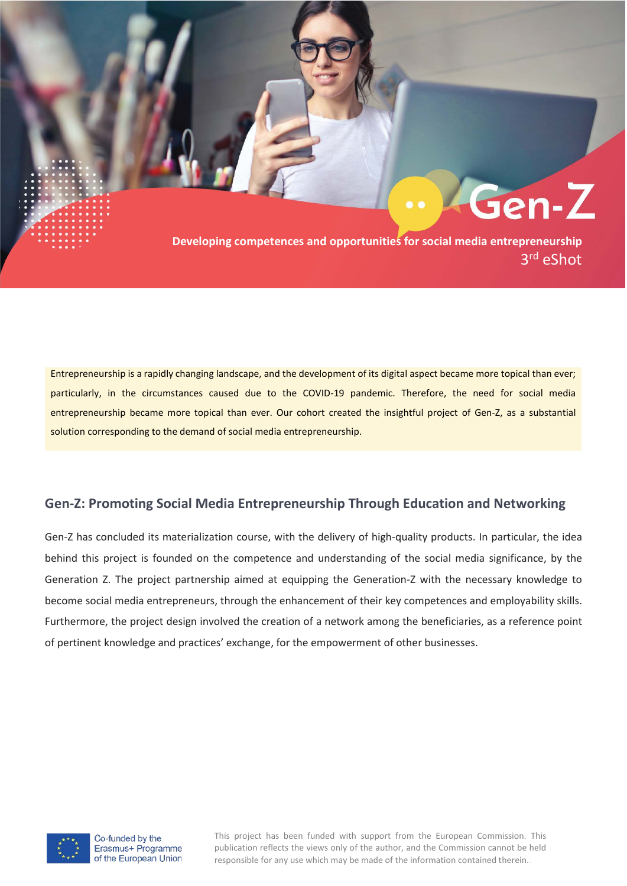**Developing competences and opportunities for social media entrepreneurship** 3rd eShot

Gen-Z

Entrepreneurship is a rapidly changing landscape, and the development of its digital aspect became more topical than ever; particularly, in the circumstances caused due to the COVID-19 pandemic. Therefore, the need for social media entrepreneurship became more topical than ever. Our cohort created the insightful project of Gen-Z, as a substantial solution corresponding to the demand of social media entrepreneurship.

## **Gen-Z: Promoting Social Media Entrepreneurship Through Education and Networking**

Gen-Z has concluded its materialization course, with the delivery of high-quality products. In particular, the idea behind this project is founded on the competence and understanding of the social media significance, by the Generation Z. The project partnership aimed at equipping the Generation-Z with the necessary knowledge to become social media entrepreneurs, through the enhancement of their key competences and employability skills. Furthermore, the project design involved the creation of a network among the beneficiaries, as a reference point of pertinent knowledge and practices' exchange, for the empowerment of other businesses.



This project has been funded with support from the European Commission. This publication reflects the views only of the author, and the Commission cannot be held responsible for any use which may be made of the information contained therein..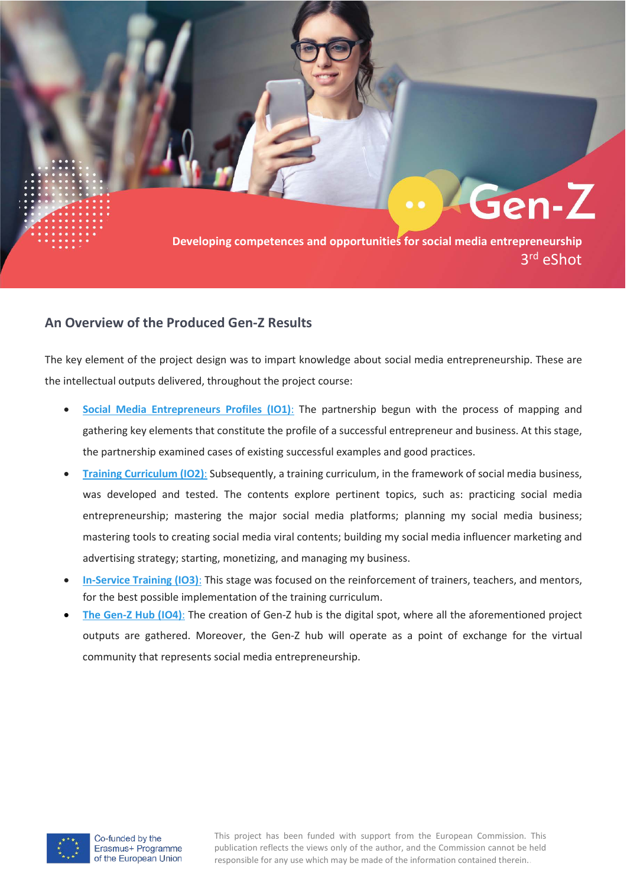

## **An Overview of the Produced Gen-Z Results**

The key element of the project design was to impart knowledge about social media entrepreneurship. These are the intellectual outputs delivered, throughout the project course:

- **[Social Media Entrepreneurs Profiles \(IO1\)](https://genz-project.eu/outputs-io1)**: The partnership begun with the process of mapping and gathering key elements that constitute the profile of a successful entrepreneur and business. At this stage, the partnership examined cases of existing successful examples and good practices.
- **[Training Curriculum \(IO2\)](https://platform.genz-project.eu/login/index.php)**: Subsequently, a training curriculum, in the framework of social media business, was developed and tested. The contents explore pertinent topics, such as: practicing social media entrepreneurship; mastering the major social media platforms; planning my social media business; mastering tools to creating social media viral contents; building my social media influencer marketing and advertising strategy; starting, monetizing, and managing my business.
- **[In-Service Training \(IO3\)](https://platform.genz-project.eu/login/index.php)**: This stage was focused on the reinforcement of trainers, teachers, and mentors, for the best possible implementation of the training curriculum.
- **[The Gen-Z Hub \(IO4\)](https://platform.genz-project.eu/?lang=en)**: The creation of Gen-Z hub is the digital spot, where all the aforementioned project outputs are gathered. Moreover, the Gen-Z hub will operate as a point of exchange for the virtual community that represents social media entrepreneurship.